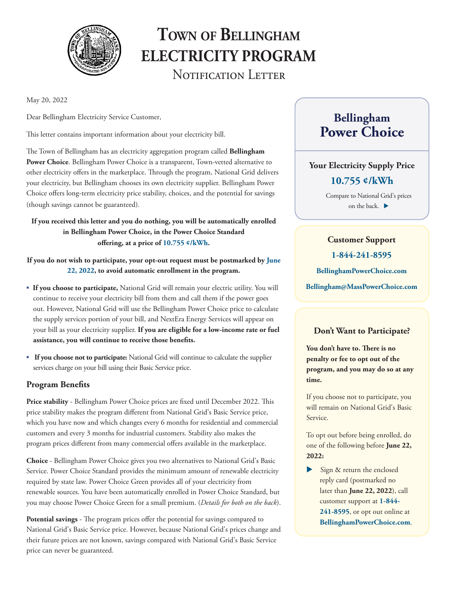

# **Town of Bellingham ELECTRICITY PROGRAM**  NOTIFICATION LETTER

May 20, 2022

Dear Bellingham Electricity Service Customer,

This letter contains important information about your electricity bill.

The Town of Bellingham has an electricity aggregation program called **Bellingham Power Choice**. Bellingham Power Choice is a transparent, Town-vetted alternative to other electricity offers in the marketplace. Through the program, National Grid delivers your electricity, but Bellingham chooses its own electricity supplier. Bellingham Power Choice offers long-term electricity price stability, choices, and the potential for savings (though savings cannot be guaranteed).

#### **If you received this letter and you do nothing, you will be automatically enrolled in Bellingham Power Choice, in the Power Choice Standard offering, at a price of 10.755 ¢/kWh.**

**If you do not wish to participate, your opt-out request must be postmarked by June 22, 2022, to avoid automatic enrollment in the program.** 

- **If you choose to participate,** National Grid will remain your electric utility. You will continue to receive your electricity bill from them and call them if the power goes out. However, National Grid will use the Bellingham Power Choice price to calculate the supply services portion of your bill, and NextEra Energy Services will appear on your bill as your electricity supplier. **If you are eligible for a low-income rate or fuel assistance, you will continue to receive those benefits.**
- **If you choose not to participate:** National Grid will continue to calculate the supplier services charge on your bill using their Basic Service price.

#### **Program Benefits**

**Price stability** - Bellingham Power Choice prices are fixed until December 2022. This price stability makes the program different from National Grid's Basic Service price, which you have now and which changes every 6 months for residential and commercial customers and every 3 months for industrial customers. Stability also makes the program prices different from many commercial offers available in the marketplace.

**Choice** - Bellingham Power Choice gives you two alternatives to National Grid's Basic Service. Power Choice Standard provides the minimum amount of renewable electricity required by state law. Power Choice Green provides all of your electricity from renewable sources. You have been automatically enrolled in Power Choice Standard, but you may choose Power Choice Green for a small premium. (*Details for both on the back*).

**Potential savings** - The program prices offer the potential for savings compared to National Grid's Basic Service price. However, because National Grid's prices change and their future prices are not known, savings compared with National Grid's Basic Service price can never be guaranteed.

# **Bellingham Power Choice**

## **Your Electricity Supply Price**

#### **10.755 ¢/kWh**

Compare to National Grid's prices on the back.

### **Customer Support**

**1-844-241-8595**

**BellinghamPowerChoice.com**

**Bellingham@MassPowerChoice.com** 

#### **Don't Want to Participate?**

**You don't have to. There is no penalty or fee to opt out of the program, and you may do so at any time.**

If you choose not to participate, you will remain on National Grid's Basic Service.

To opt out before being enrolled, do one of the following before **June 22, 2022:**

 $\blacktriangleright$  Sign & return the enclosed reply card (postmarked no later than **June 22, 2022**), call customer support at **1-844- 241-8595**, or opt out online at **BellinghamPowerChoice.com**.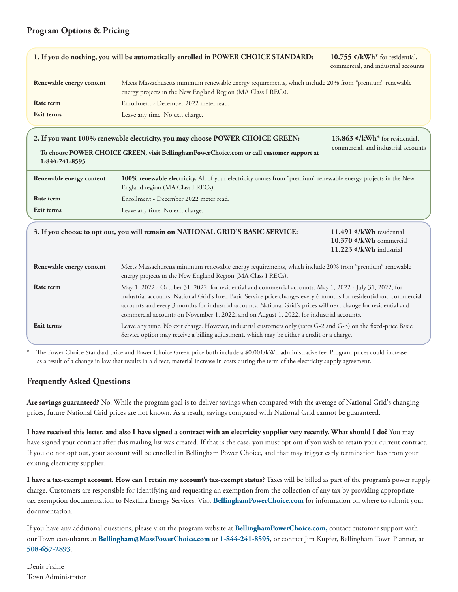#### **Program Options & Pricing**

|                          | 1. If you do nothing, you will be automatically enrolled in POWER CHOICE STANDARD:                                                                                                                                                                                                                                                                                                                                                                | 10.755 $\mathcal{L}/kWh^*$ for residential,<br>commercial, and industrial accounts |
|--------------------------|---------------------------------------------------------------------------------------------------------------------------------------------------------------------------------------------------------------------------------------------------------------------------------------------------------------------------------------------------------------------------------------------------------------------------------------------------|------------------------------------------------------------------------------------|
| Renewable energy content | Meets Massachusetts minimum renewable energy requirements, which include 20% from "premium" renewable<br>energy projects in the New England Region (MA Class I RECs).                                                                                                                                                                                                                                                                             |                                                                                    |
| Rate term                | Enrollment - December 2022 meter read.                                                                                                                                                                                                                                                                                                                                                                                                            |                                                                                    |
| <b>Exit terms</b>        | Leave any time. No exit charge.                                                                                                                                                                                                                                                                                                                                                                                                                   |                                                                                    |
|                          | 2. If you want 100% renewable electricity, you may choose POWER CHOICE GREEN:                                                                                                                                                                                                                                                                                                                                                                     | 13.863 $\mathcal{O}/kWh^*$ for residential,                                        |
| 1-844-241-8595           | To choose POWER CHOICE GREEN, visit BellinghamPowerChoice.com or call customer support at                                                                                                                                                                                                                                                                                                                                                         | commercial, and industrial accounts                                                |
| Renewable energy content | 100% renewable electricity. All of your electricity comes from "premium" renewable energy projects in the New<br>England region (MA Class I RECs).                                                                                                                                                                                                                                                                                                |                                                                                    |
| Rate term                | Enrollment - December 2022 meter read.                                                                                                                                                                                                                                                                                                                                                                                                            |                                                                                    |
| Exit terms               | Leave any time. No exit charge.                                                                                                                                                                                                                                                                                                                                                                                                                   |                                                                                    |
|                          | 3. If you choose to opt out, you will remain on NATIONAL GRID'S BASIC SERVICE:                                                                                                                                                                                                                                                                                                                                                                    | 11.491 ¢/kWh residential<br>10.370 ¢/kWh commercial<br>11.223 ¢/kWh industrial     |
| Renewable energy content | Meets Massachusetts minimum renewable energy requirements, which include 20% from "premium" renewable<br>energy projects in the New England Region (MA Class I RECs).                                                                                                                                                                                                                                                                             |                                                                                    |
| Rate term                | May 1, 2022 - October 31, 2022, for residential and commercial accounts. May 1, 2022 - July 31, 2022, for<br>industrial accounts. National Grid's fixed Basic Service price changes every 6 months for residential and commercial<br>accounts and every 3 months for industrial accounts. National Grid's prices will next change for residential and<br>commercial accounts on November 1, 2022, and on August 1, 2022, for industrial accounts. |                                                                                    |
| Exit terms               | Leave any time. No exit charge. However, industrial customers only (rates G-2 and G-3) on the fixed-price Basic<br>Service option may receive a billing adjustment, which may be either a credit or a charge.                                                                                                                                                                                                                                     |                                                                                    |

The Power Choice Standard price and Power Choice Green price both include a \$0.001/kWh administrative fee. Program prices could increase as a result of a change in law that results in a direct, material increase in costs during the term of the electricity supply agreement.

#### **Frequently Asked Questions**

**Are savings guaranteed?** No. While the program goal is to deliver savings when compared with the average of National Grid's changing prices, future National Grid prices are not known. As a result, savings compared with National Grid cannot be guaranteed.

**I have received this letter, and also I have signed a contract with an electricity supplier very recently. What should I do?** You may have signed your contract after this mailing list was created. If that is the case, you must opt out if you wish to retain your current contract. If you do not opt out, your account will be enrolled in Bellingham Power Choice, and that may trigger early termination fees from your existing electricity supplier.

**I have a tax-exempt account. How can I retain my account's tax-exempt status?** Taxes will be billed as part of the program's power supply charge. Customers are responsible for identifying and requesting an exemption from the collection of any tax by providing appropriate tax exemption documentation to NextEra Energy Services. Visit **BellinghamPowerChoice.com** for information on where to submit your documentation.

If you have any additional questions, please visit the program website at **BellinghamPowerChoice.com,** contact customer support with our Town consultants at **Bellingham@MassPowerChoice.com** or **1-844-241-8595**, or contact Jim Kupfer, Bellingham Town Planner, at **508-657-2893**.

Denis Fraine Town Administrator